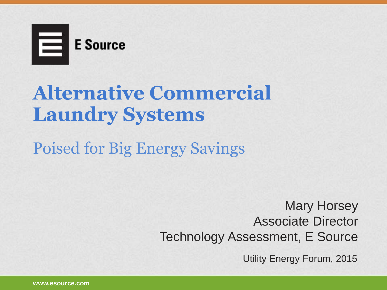

## **Alternative Commercial Laundry Systems**

Poised for Big Energy Savings

Mary Horsey Associate Director Technology Assessment, E Source Utility Energy Forum, 2015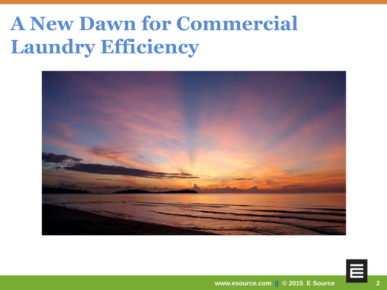# **A New Dawn for Commercial Laundry Efficiency**



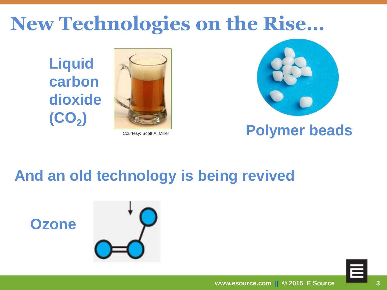#### **New Technologies on the Rise…**

**Liquid carbon dioxide (CO<sup>2</sup> )**



Courtesy: Scott A. Miller



#### **Polymer beads**

#### **And an old technology is being revived**

**Ozone**



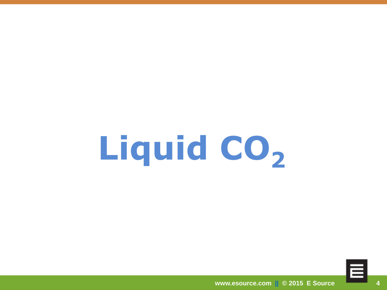# **Liquid CO2**



**www.esource.com || © 2015 E Source 4**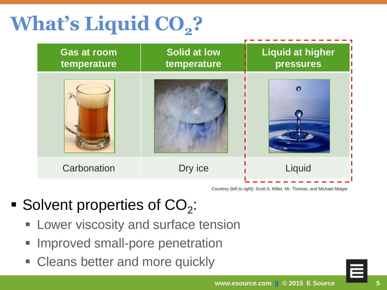# **What's Liquid CO2?**

| <b>Solid at low</b><br>temperature | <b>Liquid at higher</b><br><b>pressures</b> |
|------------------------------------|---------------------------------------------|
|                                    |                                             |
| Dry ice                            | Liquid                                      |
|                                    |                                             |

Courtesy (left to right): Scott A. Miller, Mr. Thomas, and Michael Melgar

#### Solvent properties of  $CO<sub>2</sub>$ :

- Lower viscosity and surface tension
- Improved small-pore penetration
- Cleans better and more quickly

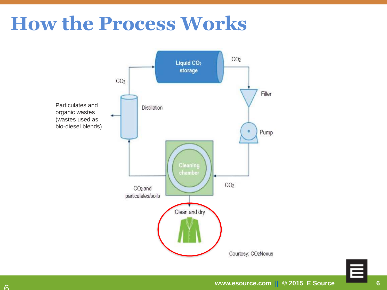### **How the Process Works**

 $\mathsf{R}$ 

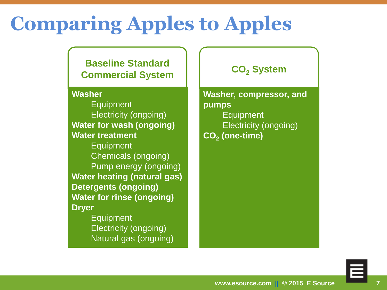## **Comparing Apples to Apples**

#### **Baseline Standard CO**<sub>2</sub> System<br> **CO**<sub>2</sub> System<br> **CO**<sub>2</sub> System

#### **Washer**

**Equipment** Electricity (ongoing) **Water for wash (ongoing) Water treatment** Equipment Chemicals (ongoing) Pump energy (ongoing) **Water heating (natural gas) Detergents (ongoing) Water for rinse (ongoing) Dryer**

> Equipment Electricity (ongoing) Natural gas (ongoing)

**Washer, compressor, and pumps** Equipment Electricity (ongoing) **CO<sup>2</sup> (one-time)** 

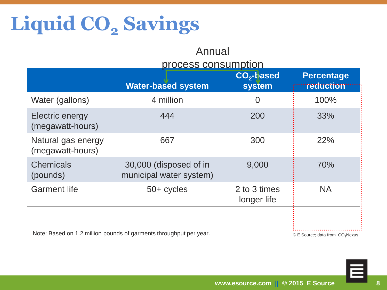# **Liquid CO<sup>2</sup> Savings**

#### Annual process consumption

|                                        | <b>Water-based system</b>                         | $CO2$ -kased<br>system      | <b>Percentage</b><br>reduction <sup>®</sup> |
|----------------------------------------|---------------------------------------------------|-----------------------------|---------------------------------------------|
| Water (gallons)                        | 4 million                                         | 0                           | 100%                                        |
| Electric energy<br>(megawatt-hours)    | 444                                               | 200                         | 33%                                         |
| Natural gas energy<br>(megawatt-hours) | 667                                               | 300                         | 22%                                         |
| <b>Chemicals</b><br>(pounds)           | 30,000 (disposed of in<br>municipal water system) | 9,000                       | 70%                                         |
| <b>Garment life</b>                    | 50+ cycles                                        | 2 to 3 times<br>longer life | <b>NA</b>                                   |
|                                        |                                                   |                             |                                             |

Note: Based on 1.2 million pounds of garments throughput per year. **Example 2018** CE Source; data from CO<sub>2</sub>Nexus

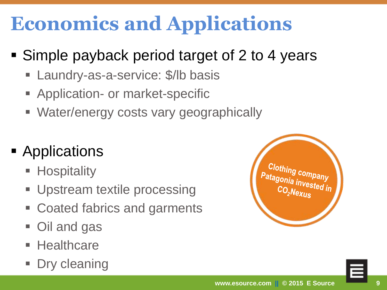# **Economics and Applications**

- Simple payback period target of 2 to 4 years
	- **Laundry-as-a-service: \$/lb basis**
	- **Application- or market-specific**
	- Water/energy costs vary geographically

#### **Applications**

- **Hospitality**
- **Upstream textile processing**
- Coated fabrics and garments
- Oil and gas
- **Healthcare**
- **Dry cleaning**



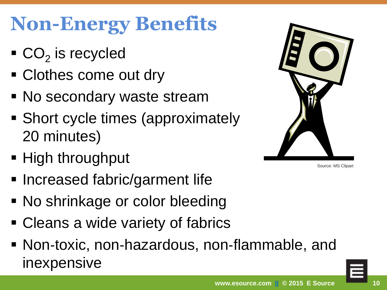# **Non-Energy Benefits**

- $\bullet$  CO<sub>2</sub> is recycled
- Clothes come out dry
- **No secondary waste stream**
- **Short cycle times (approximately** 20 minutes)
- **High throughput**
- Increased fabric/garment life
- No shrinkage or color bleeding
- Cleans a wide variety of fabrics
- Non-toxic, non-hazardous, non-flammable, and inexpensive



Source: MS Clipart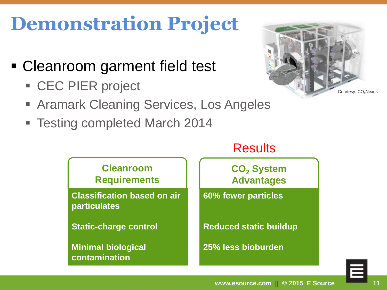# **Demonstration Project**

- Cleanroom garment field test
	- CEC PIER project



- **Aramark Cleaning Services, Los Angeles**
- Testing completed March 2014

#### **Classification based on air particulates Static-charge control Minimal biological contamination 60% fewer particles Reduced static buildup 25% less bioburden Cleanroom Requirements CO<sup>2</sup> System Advantages Results**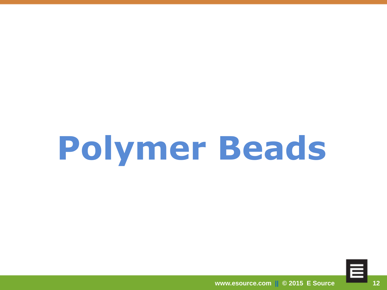# **Polymer Beads**

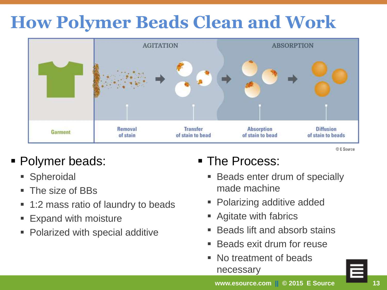#### **How Polymer Beads Clean and Work**



- Polymer beads:
	- **Spheroidal**
	- **The size of BBs**
	- 1:2 mass ratio of laundry to beads
	- Expand with moisture
	- Polarized with special additive

#### **The Process:**

- **Beads enter drum of specially** made machine
- **Polarizing additive added**
- **Agitate with fabrics**
- Beads lift and absorb stains
- Beads exit drum for reuse
- **No treatment of beads** necessary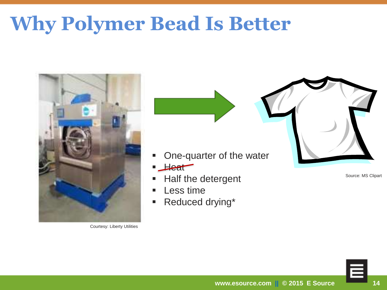#### **Why Polymer Bead Is Better**



Courtesy: Liberty Utilities

One-quarter of the water

Half the detergent

Less time

Heat -

Reduced drying\*

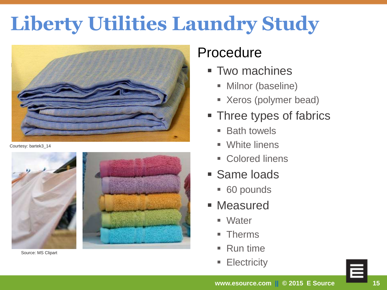# **Liberty Utilities Laundry Study**



Courtesy: bartek3\_14



Source: MS Clipart

#### Procedure

- Two machines
	- **Milnor (baseline)**
	- Xeros (polymer bead)
- **Three types of fabrics** 
	- Bath towels
	- White linens
	- Colored linens
- Same loads
	- 60 pounds
- Measured
	- Water
	- **Therms**
	- **Run time**
	- **Electricity**

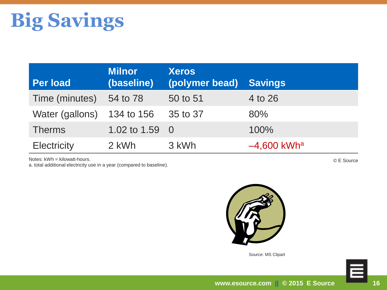# **Big Savings**

| <b>Per load</b>    | <b>Milnor</b><br>(baseline) | <b>Xeros</b><br>(polymer bead) | <b>Savings</b> |
|--------------------|-----------------------------|--------------------------------|----------------|
| Time (minutes)     | 54 to 78                    | 50 to 51                       | 4 to 26        |
| Water (gallons)    | 134 to 156                  | 35 to 37                       | 80%            |
| <b>Therms</b>      | 1.02 to $1.59\quad 0$       |                                | 100%           |
| <b>Electricity</b> | 2 kWh                       | 3 kWh                          | $-4,600$ kWha  |

Notes: kWh = kilowatt-hours. © E Source

a. total additional electricity use in a year (compared to baseline).



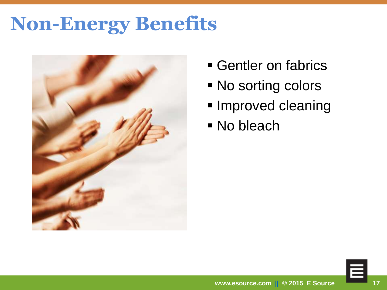## **Non-Energy Benefits**



- **Gentler on fabrics**
- **No sorting colors**
- **Improved cleaning**
- No bleach

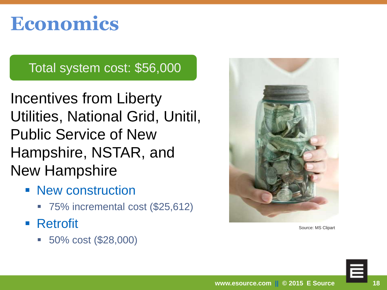#### **Economics**

#### Total system cost: \$56,000

Incentives from Liberty Utilities, National Grid, Unitil, Public Service of New Hampshire, NSTAR, and New Hampshire

- **New construction** 
	- 75% incremental cost (\$25,612)
- **Retrofit** 
	- 50% cost (\$28,000)



Source: MS Clipart

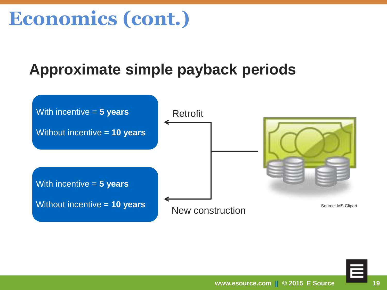## **Economics (cont.)**

#### **Approximate simple payback periods**



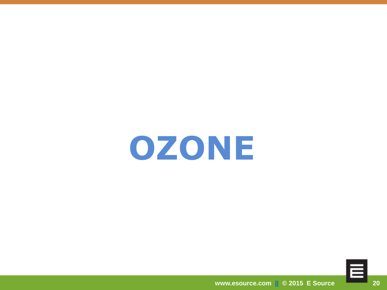# **OZONE**



**www.esource.com || © 2015 E Source 20**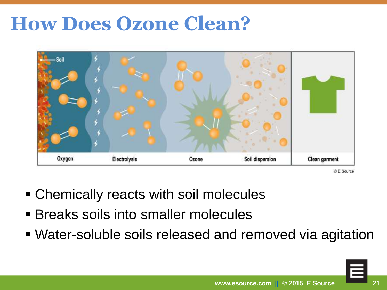#### **How Does Ozone Clean?**



- Chemically reacts with soil molecules
- Breaks soils into smaller molecules
- Water-soluble soils released and removed via agitation

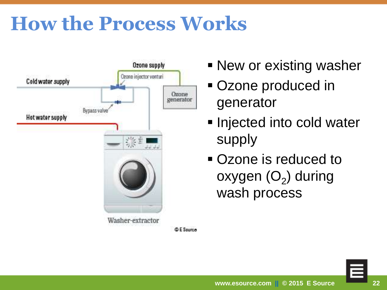## **How the Process Works**



- **New or existing washer**
- Ozone produced in generator
- **Injected into cold water** supply
- Ozone is reduced to oxygen (O $_2$ ) during wash process

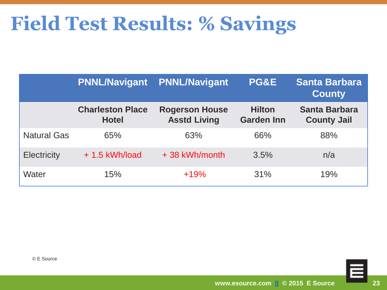# **Field Test Results: % Savings**

|                    | <b>PNNL/Navigant</b>                    | <b>PNNL/Navigant</b>                         | PG&E                               | <b>Santa Barbara</b><br><b>County</b>      |
|--------------------|-----------------------------------------|----------------------------------------------|------------------------------------|--------------------------------------------|
|                    | <b>Charleston Place</b><br><b>Hotel</b> | <b>Rogerson House</b><br><b>Asstd Living</b> | <b>Hilton</b><br><b>Garden Inn</b> | <b>Santa Barbara</b><br><b>County Jail</b> |
| <b>Natural Gas</b> | 65%                                     | 63%                                          | 66%                                | 88%                                        |
| <b>Electricity</b> | $+ 1.5$ kWh/load                        | + 38 kWh/month                               | 3.5%                               | n/a                                        |
| Water              | 15%                                     | $+19%$                                       | 31%                                | 19%                                        |



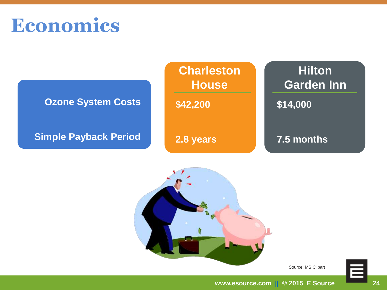## **Economics**

|                              | <b>Charleston</b><br><b>House</b> | <b>Hilton</b><br><b>Garden Inn</b> |
|------------------------------|-----------------------------------|------------------------------------|
| <b>Ozone System Costs</b>    | \$42,200                          | \$14,000                           |
| <b>Simple Payback Period</b> | 2.8 years                         | 7.5 months                         |



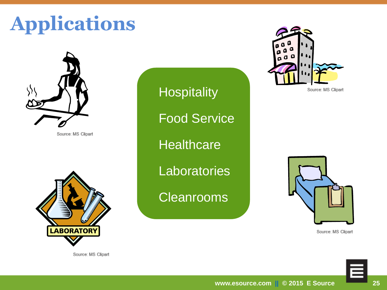# **Applications**



Source: MS Clipart



Source: MS Clipart

**Hospitality** 

Food Service

**Healthcare** 

**Laboratories** 

**Cleanrooms** 



Source: MS Clipart



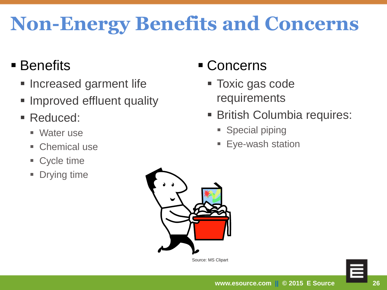# **Non-Energy Benefits and Concerns**

#### ■ Benefits

- **Increased garment life**
- **Improved effluent quality**
- Reduced:
	- Water use
	- Chemical use
	- Cycle time
	- Drying time

#### ■ Concerns

- Toxic gas code requirements
- **British Columbia requires:** 
	- **Special piping**
	- **Eye-wash station**

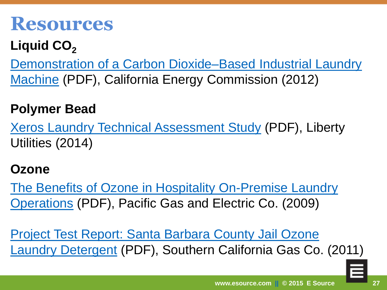#### **Resources**

#### Liquid CO<sub>2</sub>

[Demonstration of a Carbon Dioxide–Based Industrial Laundry](http://www.energy.ca.gov/2011publications/CEC-500-2011-FS/CEC-500-2011-FS-023.pdf) Machine (PDF), California Energy Commission (2012)

#### **Polymer Bead**

Xeros [Laundry Technical Assessment Study](http://www.libertyutilities.com/east/gas/my_business/documents/Xeros_Study_for_LibertyUtilities.pdf) (PDF), Liberty Utilities (2014)

#### **Ozone**

[The Benefits of Ozone in Hospitality On-Premise Laundry](http://www.etcc-ca.com/sites/default/files/OLD/images/ozone_in_hotel_laundry_facilities-1.pdf)  Operations (PDF), Pacific Gas and Electric Co. (2009)

[Project Test Report: Santa Barbara County Jail Ozone](http://www.etcc-ca.com/sites/default/files/OLD/images/sbco_ozone_laundry_-_final_report_20110914.pdf)  Laundry Detergent (PDF), Southern California Gas Co. (2011)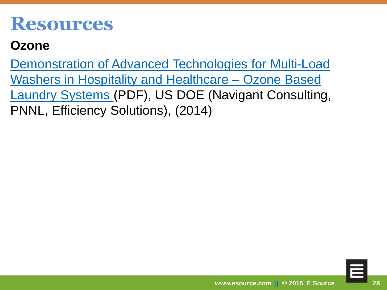#### **Resources**

#### **Ozone**

Demonstration of Advanced Technologies for Multi-Load Washers in Hospitality and Healthcare – Ozone Based [Laundry Systems \(PDF\), US DOE \(Navigant Consulting,](http://www.pnnl.gov/main/publications/external/technical_reports/PNNL-23536.pdf) PNNL, Efficiency Solutions), (2014)